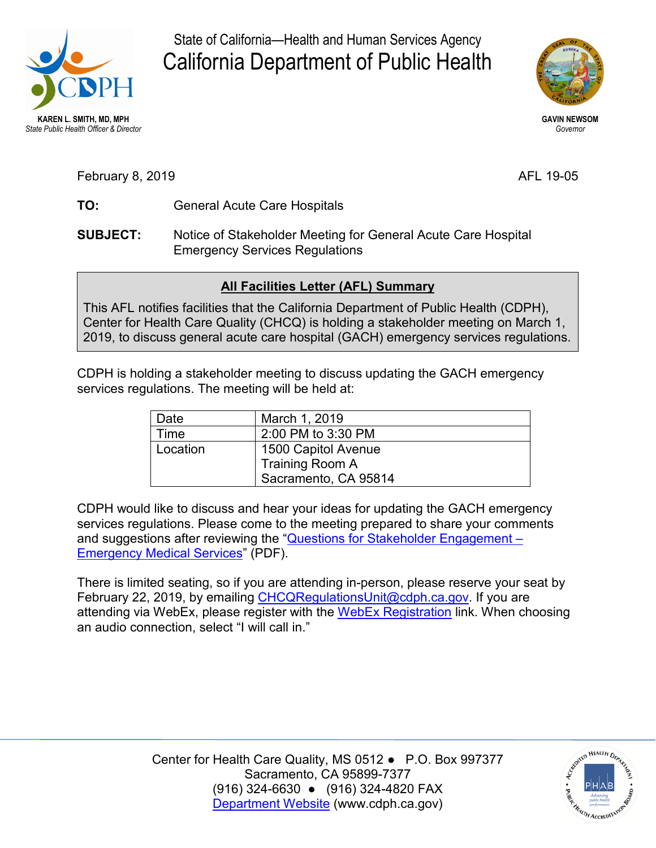

State of California—Health and Human Services Agency California Department of Public Health



**GAVIN NEWSOM**  *Governor* 

AFL 19-05

- TO: February 8, 20 **TO:** <sup>19</sup> General Acute Care Hospitals
- **SUBJECT:** Notice of Stakeholder Meeting for General Acute Care Hospital Emergency Services Regulations

## **All Facilities Letter (AFL) Summary**

This AFL notifies facilities that the California Department of Public Health (CDPH), Center for Health Care Quality (CHCQ) is holding a stakeholder meeting on March 1, 2019, to discuss general acute care hospital (GACH) emergency services regulations.

 CDPH is holding a stakeholder meeting to discuss updating the GACH emergency services regulations. The meeting will be held at:

| Date     | March 1, 2019        |
|----------|----------------------|
| Time     | 2:00 PM to 3:30 PM   |
| Location | 1500 Capitol Avenue  |
|          | Training Room A      |
|          | Sacramento, CA 95814 |

 [Emergency Medical Services"](https://www.cdph.ca.gov/Programs/CHCQ/LCP/CDPH%20Document%20Library/Stakeholder-Questions-EMS.pdf) (PDF). CDPH would like to discuss and hear your ideas for updating the GACH emergency services regulations. Please come to the meeting prepared to share your comments and suggestions after reviewing the ["Questions for Stakeholder Engagement –](https://www.cdph.ca.gov/Programs/CHCQ/LCP/CDPH%20Document%20Library/Stakeholder-Questions-EMS.pdf) 

February 22, 2019, by emailing <u>CHCQRegulationsUnit@cdph.ca.gov</u>. If you are attending via WebEx, please register with the <u>WebEx Registration</u> link. When choosing There is limited seating, so if you are attending in-person, please reserve your seat by an audio connection, select "I will call in."